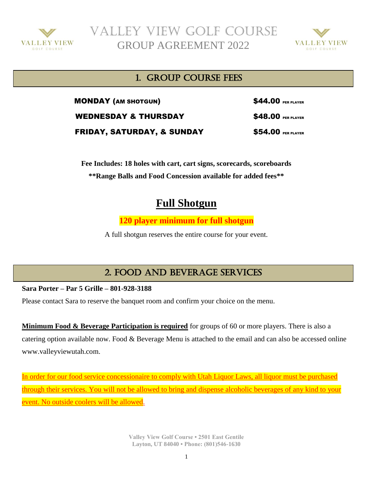

 Valley View Golf Course GROUP AGREEMENT 2022



### 1. Group COURSE FEES

MONDAY (AM SHOTGUN) \$44.00 PER PLAYER WEDNESDAY & THURSDAY **\$48.00** PER PLAYER **FRIDAY, SATURDAY, & SUNDAY \$54.00 PER PLAYER** 

**Fee Includes: 18 holes with cart, cart signs, scorecards, scoreboards \*\*Range Balls and Food Concession available for added fees\*\***

# **Full Shotgun**

**120 player minimum for full shotgun**

A full shotgun reserves the entire course for your event.

## 2. FOOD AND BEVERAGE SERVICES

**Sara Porter – Par 5 Grille – 801-928-3188**

Please contact Sara to reserve the banquet room and confirm your choice on the menu.

**Minimum Food & Beverage Participation is required** for groups of 60 or more players. There is also a catering option available now. Food & Beverage Menu is attached to the email and can also be accessed online www.valleyviewutah.com.

In order for our food service concessionaire to comply with Utah Liquor Laws, all liquor must be purchased through their services. You will not be allowed to bring and dispense alcoholic beverages of any kind to your event. No outside coolers will be allowed.

> **Valley View Golf Course • 2501 East Gentile Layton, UT 84040 • Phone: (801)546-1630**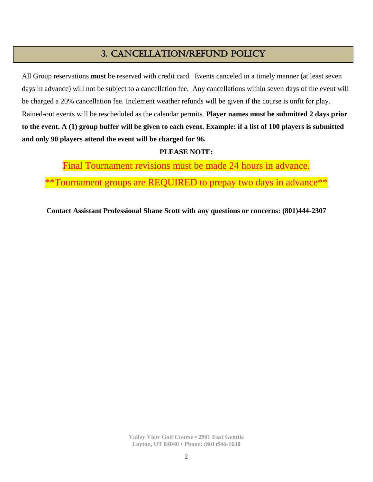### 3. CANCELLATION/REFUND POLICY

All Group reservations **must** be reserved with credit card. Events canceled in a timely manner (at least seven days in advance) will not be subject to a cancellation fee. Any cancellations within seven days of the event will be charged a 20% cancellation fee. Inclement weather refunds will be given if the course is unfit for play. Rained-out events will be rescheduled as the calendar permits. **Player names must be submitted 2 days prior to the event. A (1) group buffer will be given to each event. Example: if a list of 100 players is submitted and only 90 players attend the event will be charged for 96.**

#### **PLEASE NOTE:**

Final Tournament revisions must be made 24 hours in advance.

\*\*Tournament groups are REQUIRED to prepay two days in advance\*\*

**Contact Assistant Professional Shane Scott with any questions or concerns: (801)444-2307**

**Valley View Golf Course • 2501 East Gentile Layton, UT 84040 • Phone: (801)546-1630**